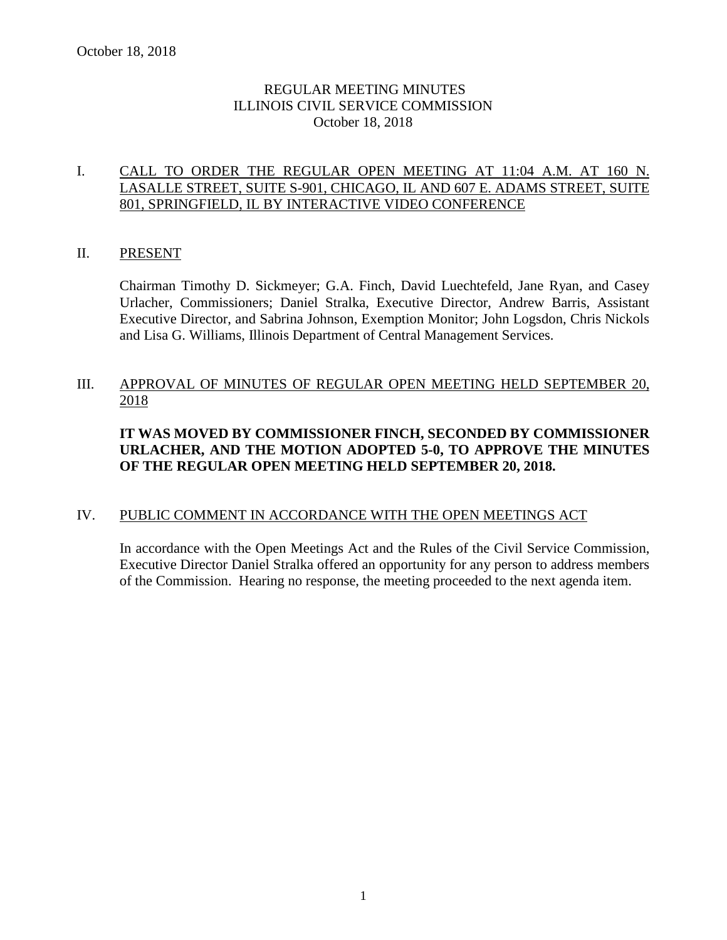## REGULAR MEETING MINUTES ILLINOIS CIVIL SERVICE COMMISSION October 18, 2018

## I. CALL TO ORDER THE REGULAR OPEN MEETING AT 11:04 A.M. AT 160 N. LASALLE STREET, SUITE S-901, CHICAGO, IL AND 607 E. ADAMS STREET, SUITE 801, SPRINGFIELD, IL BY INTERACTIVE VIDEO CONFERENCE

#### II. PRESENT

Chairman Timothy D. Sickmeyer; G.A. Finch, David Luechtefeld, Jane Ryan, and Casey Urlacher, Commissioners; Daniel Stralka, Executive Director, Andrew Barris, Assistant Executive Director, and Sabrina Johnson, Exemption Monitor; John Logsdon, Chris Nickols and Lisa G. Williams, Illinois Department of Central Management Services.

## III. APPROVAL OF MINUTES OF REGULAR OPEN MEETING HELD SEPTEMBER 20, 2018

## **IT WAS MOVED BY COMMISSIONER FINCH, SECONDED BY COMMISSIONER URLACHER, AND THE MOTION ADOPTED 5-0, TO APPROVE THE MINUTES OF THE REGULAR OPEN MEETING HELD SEPTEMBER 20, 2018.**

## IV. PUBLIC COMMENT IN ACCORDANCE WITH THE OPEN MEETINGS ACT

In accordance with the Open Meetings Act and the Rules of the Civil Service Commission, Executive Director Daniel Stralka offered an opportunity for any person to address members of the Commission. Hearing no response, the meeting proceeded to the next agenda item.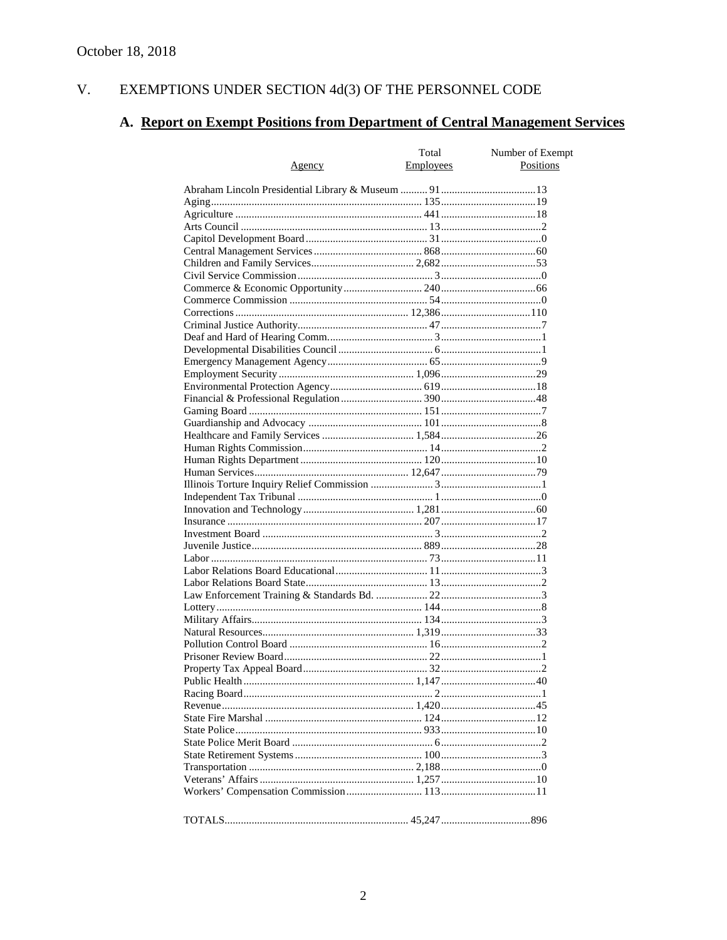#### EXEMPTIONS UNDER SECTION  $4d(3)$  OF THE PERSONNEL CODE V.

# A. Report on Exempt Positions from Department of Central Management Services

|               | Total     | Number of Exempt |
|---------------|-----------|------------------|
| <u>Agency</u> | Employees | Positions        |
|               |           |                  |
|               |           |                  |
|               |           |                  |
|               |           |                  |
|               |           |                  |
|               |           |                  |
|               |           |                  |
|               |           |                  |
|               |           |                  |
|               |           |                  |
|               |           |                  |
|               |           |                  |
|               |           |                  |
|               |           |                  |
|               |           |                  |
|               |           |                  |
|               |           |                  |
|               |           |                  |
|               |           |                  |
|               |           |                  |
|               |           |                  |
|               |           |                  |
|               |           |                  |
|               |           |                  |
|               |           |                  |
|               |           |                  |
|               |           |                  |
|               |           |                  |
|               |           |                  |
|               |           |                  |
|               |           |                  |
|               |           |                  |
|               |           |                  |
|               |           |                  |
|               |           |                  |
|               |           |                  |
|               |           |                  |
|               |           |                  |
|               |           |                  |
|               |           |                  |
|               |           |                  |
|               |           |                  |
|               |           |                  |
|               |           |                  |
|               |           |                  |
|               |           |                  |
|               |           |                  |
|               |           |                  |
|               |           |                  |
|               |           |                  |
|               |           |                  |
|               |           |                  |
|               |           |                  |
|               |           |                  |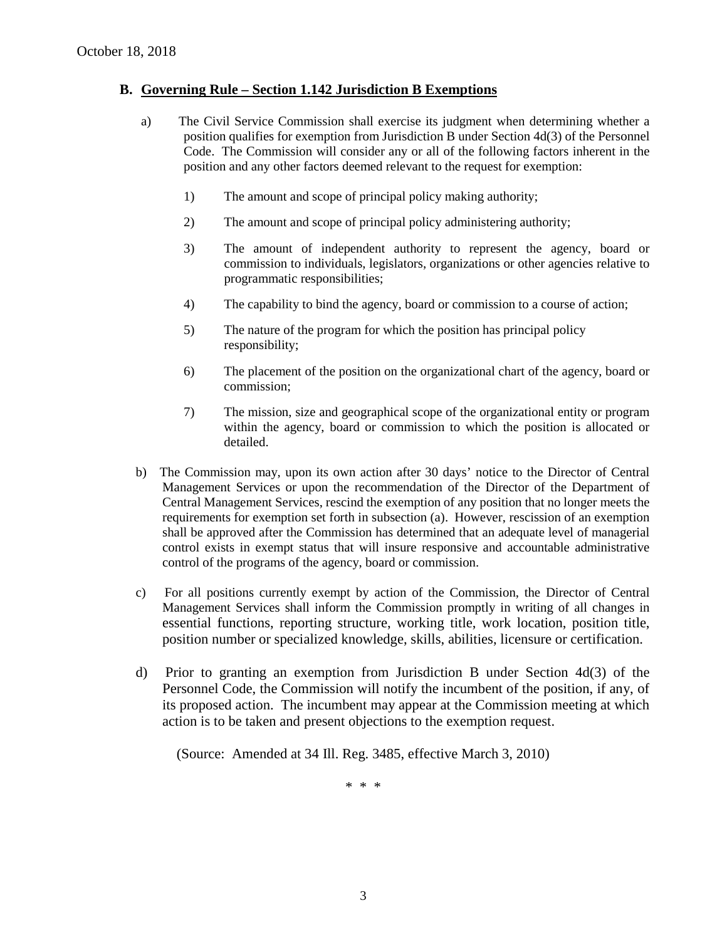#### **B. Governing Rule – Section 1.142 Jurisdiction B Exemptions**

- a) The Civil Service Commission shall exercise its judgment when determining whether a position qualifies for exemption from Jurisdiction B under Section 4d(3) of the Personnel Code. The Commission will consider any or all of the following factors inherent in the position and any other factors deemed relevant to the request for exemption:
	- 1) The amount and scope of principal policy making authority;
	- 2) The amount and scope of principal policy administering authority;
	- 3) The amount of independent authority to represent the agency, board or commission to individuals, legislators, organizations or other agencies relative to programmatic responsibilities;
	- 4) The capability to bind the agency, board or commission to a course of action;
	- 5) The nature of the program for which the position has principal policy responsibility;
	- 6) The placement of the position on the organizational chart of the agency, board or commission;
	- 7) The mission, size and geographical scope of the organizational entity or program within the agency, board or commission to which the position is allocated or detailed.
- b) The Commission may, upon its own action after 30 days' notice to the Director of Central Management Services or upon the recommendation of the Director of the Department of Central Management Services, rescind the exemption of any position that no longer meets the requirements for exemption set forth in subsection (a). However, rescission of an exemption shall be approved after the Commission has determined that an adequate level of managerial control exists in exempt status that will insure responsive and accountable administrative control of the programs of the agency, board or commission.
- c) For all positions currently exempt by action of the Commission, the Director of Central Management Services shall inform the Commission promptly in writing of all changes in essential functions, reporting structure, working title, work location, position title, position number or specialized knowledge, skills, abilities, licensure or certification.
- d) Prior to granting an exemption from Jurisdiction B under Section 4d(3) of the Personnel Code, the Commission will notify the incumbent of the position, if any, of its proposed action. The incumbent may appear at the Commission meeting at which action is to be taken and present objections to the exemption request.

(Source: Amended at 34 Ill. Reg. 3485, effective March 3, 2010)

\* \* \*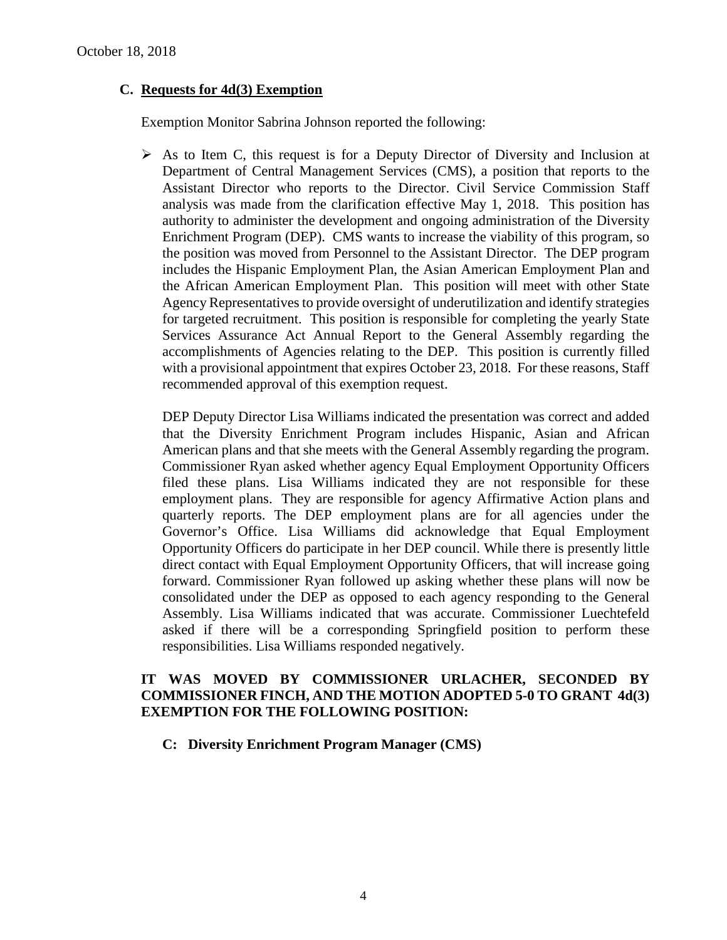## **C. Requests for 4d(3) Exemption**

Exemption Monitor Sabrina Johnson reported the following:

 $\triangleright$  As to Item C, this request is for a Deputy Director of Diversity and Inclusion at Department of Central Management Services (CMS), a position that reports to the Assistant Director who reports to the Director. Civil Service Commission Staff analysis was made from the clarification effective May 1, 2018. This position has authority to administer the development and ongoing administration of the Diversity Enrichment Program (DEP). CMS wants to increase the viability of this program, so the position was moved from Personnel to the Assistant Director. The DEP program includes the Hispanic Employment Plan, the Asian American Employment Plan and the African American Employment Plan. This position will meet with other State Agency Representatives to provide oversight of underutilization and identify strategies for targeted recruitment. This position is responsible for completing the yearly State Services Assurance Act Annual Report to the General Assembly regarding the accomplishments of Agencies relating to the DEP. This position is currently filled with a provisional appointment that expires October 23, 2018. For these reasons, Staff recommended approval of this exemption request.

DEP Deputy Director Lisa Williams indicated the presentation was correct and added that the Diversity Enrichment Program includes Hispanic, Asian and African American plans and that she meets with the General Assembly regarding the program. Commissioner Ryan asked whether agency Equal Employment Opportunity Officers filed these plans. Lisa Williams indicated they are not responsible for these employment plans. They are responsible for agency Affirmative Action plans and quarterly reports. The DEP employment plans are for all agencies under the Governor's Office. Lisa Williams did acknowledge that Equal Employment Opportunity Officers do participate in her DEP council. While there is presently little direct contact with Equal Employment Opportunity Officers, that will increase going forward. Commissioner Ryan followed up asking whether these plans will now be consolidated under the DEP as opposed to each agency responding to the General Assembly. Lisa Williams indicated that was accurate. Commissioner Luechtefeld asked if there will be a corresponding Springfield position to perform these responsibilities. Lisa Williams responded negatively.

#### **IT WAS MOVED BY COMMISSIONER URLACHER, SECONDED BY COMMISSIONER FINCH, AND THE MOTION ADOPTED 5-0 TO GRANT 4d(3) EXEMPTION FOR THE FOLLOWING POSITION:**

#### **C: Diversity Enrichment Program Manager (CMS)**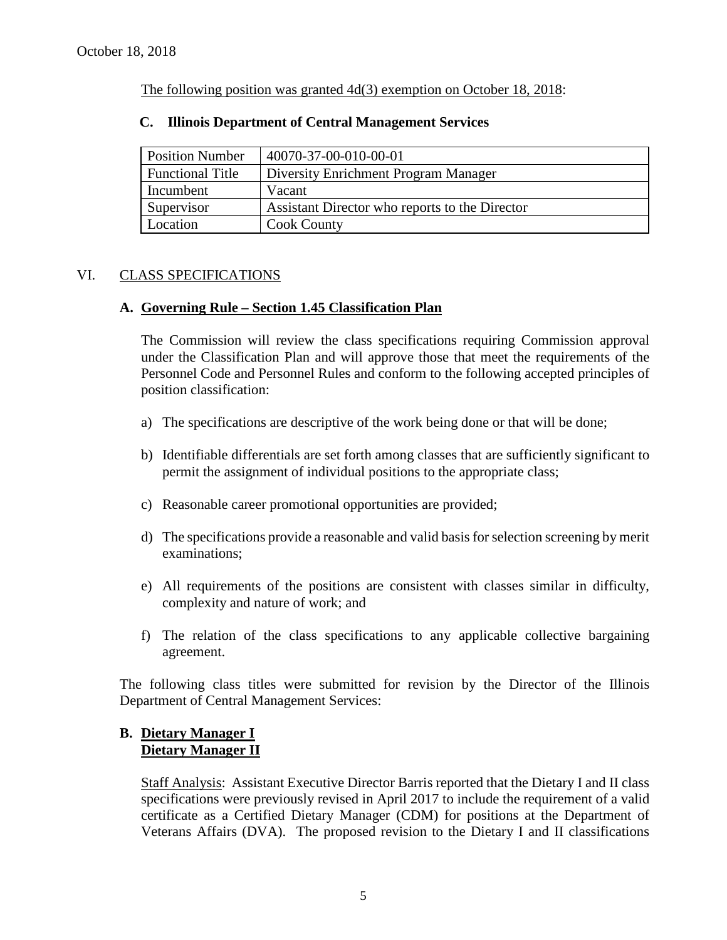The following position was granted 4d(3) exemption on October 18, 2018:

| <b>Position Number</b>  | 40070-37-00-010-00-01                          |
|-------------------------|------------------------------------------------|
| <b>Functional Title</b> | Diversity Enrichment Program Manager           |
| Incumbent               | Vacant                                         |
| Supervisor              | Assistant Director who reports to the Director |
| Location                | Cook County                                    |

#### **C. Illinois Department of Central Management Services**

#### VI. CLASS SPECIFICATIONS

#### **A. Governing Rule – Section 1.45 Classification Plan**

The Commission will review the class specifications requiring Commission approval under the Classification Plan and will approve those that meet the requirements of the Personnel Code and Personnel Rules and conform to the following accepted principles of position classification:

- a) The specifications are descriptive of the work being done or that will be done;
- b) Identifiable differentials are set forth among classes that are sufficiently significant to permit the assignment of individual positions to the appropriate class;
- c) Reasonable career promotional opportunities are provided;
- d) The specifications provide a reasonable and valid basis for selection screening by merit examinations;
- e) All requirements of the positions are consistent with classes similar in difficulty, complexity and nature of work; and
- f) The relation of the class specifications to any applicable collective bargaining agreement.

The following class titles were submitted for revision by the Director of the Illinois Department of Central Management Services:

#### **B. Dietary Manager I Dietary Manager II**

Staff Analysis: Assistant Executive Director Barris reported that the Dietary I and II class specifications were previously revised in April 2017 to include the requirement of a valid certificate as a Certified Dietary Manager (CDM) for positions at the Department of Veterans Affairs (DVA). The proposed revision to the Dietary I and II classifications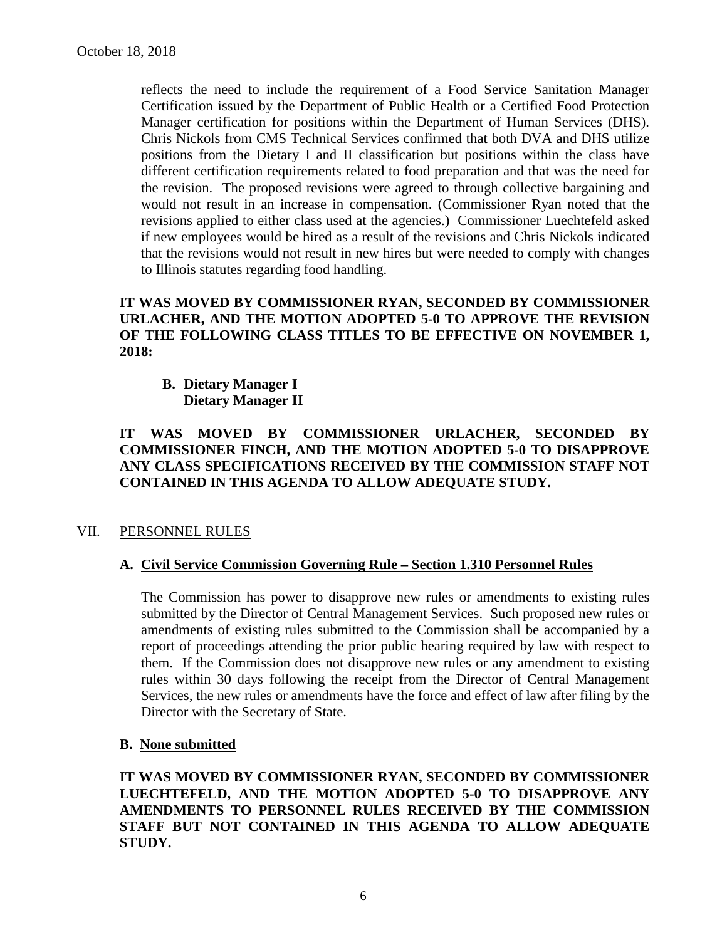reflects the need to include the requirement of a Food Service Sanitation Manager Certification issued by the Department of Public Health or a Certified Food Protection Manager certification for positions within the Department of Human Services (DHS). Chris Nickols from CMS Technical Services confirmed that both DVA and DHS utilize positions from the Dietary I and II classification but positions within the class have different certification requirements related to food preparation and that was the need for the revision. The proposed revisions were agreed to through collective bargaining and would not result in an increase in compensation. (Commissioner Ryan noted that the revisions applied to either class used at the agencies.) Commissioner Luechtefeld asked if new employees would be hired as a result of the revisions and Chris Nickols indicated that the revisions would not result in new hires but were needed to comply with changes to Illinois statutes regarding food handling.

**IT WAS MOVED BY COMMISSIONER RYAN, SECONDED BY COMMISSIONER URLACHER, AND THE MOTION ADOPTED 5-0 TO APPROVE THE REVISION OF THE FOLLOWING CLASS TITLES TO BE EFFECTIVE ON NOVEMBER 1, 2018:**

**B. Dietary Manager I Dietary Manager II**

**IT WAS MOVED BY COMMISSIONER URLACHER, SECONDED BY COMMISSIONER FINCH, AND THE MOTION ADOPTED 5-0 TO DISAPPROVE ANY CLASS SPECIFICATIONS RECEIVED BY THE COMMISSION STAFF NOT CONTAINED IN THIS AGENDA TO ALLOW ADEQUATE STUDY.** 

## VII. PERSONNEL RULES

#### **A. Civil Service Commission Governing Rule – Section 1.310 Personnel Rules**

The Commission has power to disapprove new rules or amendments to existing rules submitted by the Director of Central Management Services. Such proposed new rules or amendments of existing rules submitted to the Commission shall be accompanied by a report of proceedings attending the prior public hearing required by law with respect to them. If the Commission does not disapprove new rules or any amendment to existing rules within 30 days following the receipt from the Director of Central Management Services, the new rules or amendments have the force and effect of law after filing by the Director with the Secretary of State.

#### **B. None submitted**

**IT WAS MOVED BY COMMISSIONER RYAN, SECONDED BY COMMISSIONER LUECHTEFELD, AND THE MOTION ADOPTED 5-0 TO DISAPPROVE ANY AMENDMENTS TO PERSONNEL RULES RECEIVED BY THE COMMISSION STAFF BUT NOT CONTAINED IN THIS AGENDA TO ALLOW ADEQUATE STUDY.**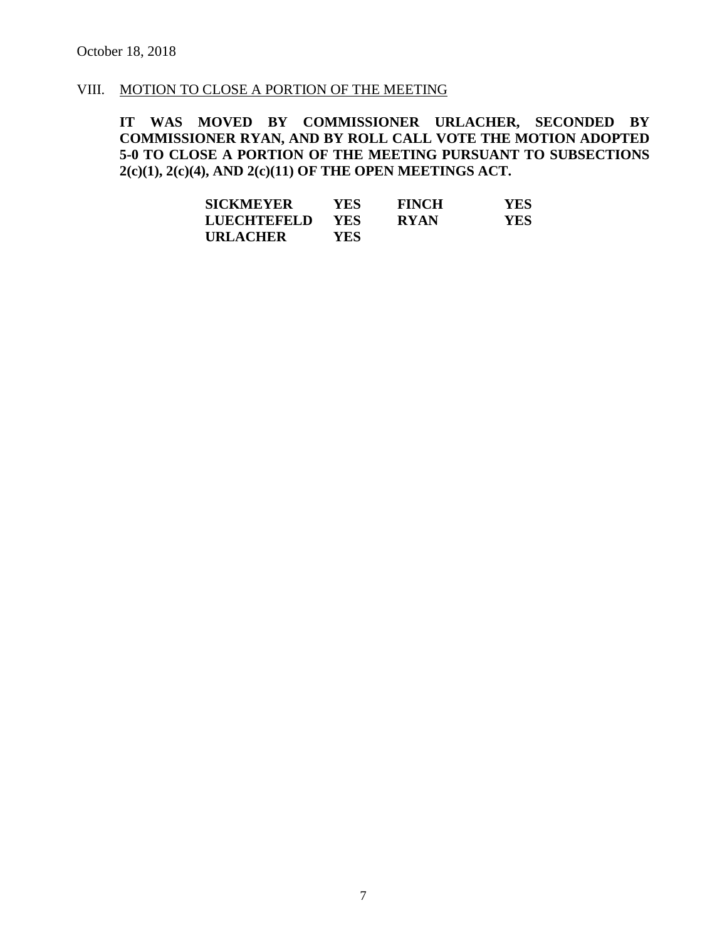#### VIII. MOTION TO CLOSE A PORTION OF THE MEETING

**IT WAS MOVED BY COMMISSIONER URLACHER, SECONDED BY COMMISSIONER RYAN, AND BY ROLL CALL VOTE THE MOTION ADOPTED 5-0 TO CLOSE A PORTION OF THE MEETING PURSUANT TO SUBSECTIONS 2(c)(1), 2(c)(4), AND 2(c)(11) OF THE OPEN MEETINGS ACT.**

| <b>SICKMEYER</b>   | YES.       | <b>FINCH</b> | YES |
|--------------------|------------|--------------|-----|
| <b>LUECHTEFELD</b> | <b>YES</b> | <b>RYAN</b>  | YES |
| <b>URLACHER</b>    | YES.       |              |     |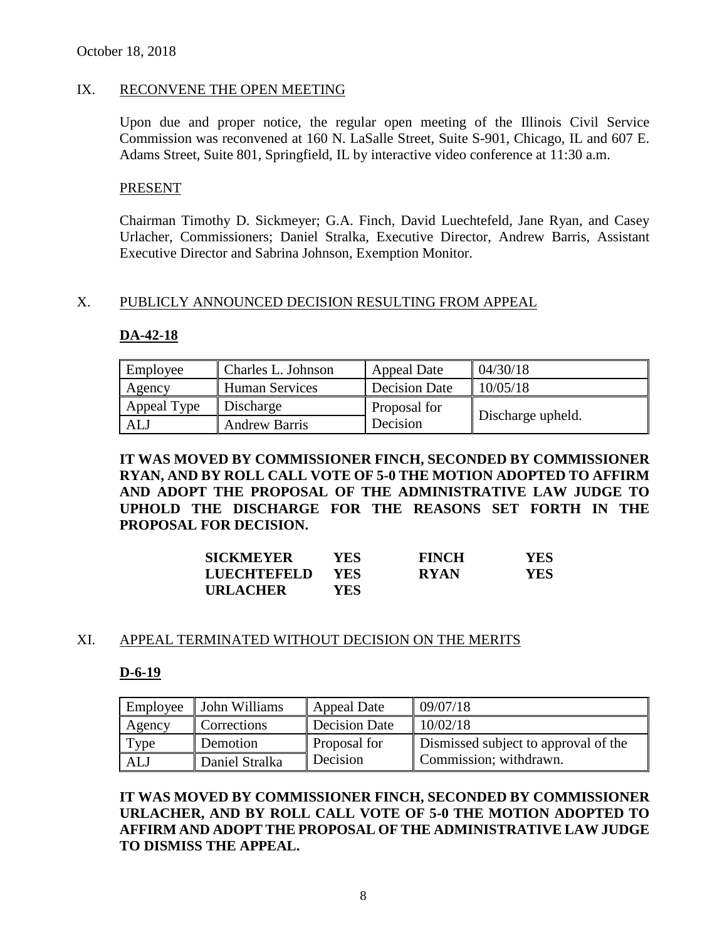#### IX. RECONVENE THE OPEN MEETING

Upon due and proper notice, the regular open meeting of the Illinois Civil Service Commission was reconvened at 160 N. LaSalle Street, Suite S-901, Chicago, IL and 607 E. Adams Street, Suite 801, Springfield, IL by interactive video conference at 11:30 a.m.

#### PRESENT

Chairman Timothy D. Sickmeyer; G.A. Finch, David Luechtefeld, Jane Ryan, and Casey Urlacher, Commissioners; Daniel Stralka, Executive Director, Andrew Barris, Assistant Executive Director and Sabrina Johnson, Exemption Monitor.

#### X. PUBLICLY ANNOUNCED DECISION RESULTING FROM APPEAL

#### **DA-42-18**

| Employee    | Charles L. Johnson    | Appeal Date   | 04/30/18          |
|-------------|-----------------------|---------------|-------------------|
| Agency      | <b>Human Services</b> | Decision Date | 10/05/18          |
| Appeal Type | Discharge             | Proposal for  |                   |
| <b>ALJ</b>  | <b>Andrew Barris</b>  | Decision      | Discharge upheld. |

**IT WAS MOVED BY COMMISSIONER FINCH, SECONDED BY COMMISSIONER RYAN, AND BY ROLL CALL VOTE OF 5-0 THE MOTION ADOPTED TO AFFIRM AND ADOPT THE PROPOSAL OF THE ADMINISTRATIVE LAW JUDGE TO UPHOLD THE DISCHARGE FOR THE REASONS SET FORTH IN THE PROPOSAL FOR DECISION.**

| <b>SICKMEYER</b>   | <b>YES</b> | <b>FINCH</b> | YES |
|--------------------|------------|--------------|-----|
| <b>LUECHTEFELD</b> | <b>YES</b> | <b>RYAN</b>  | YES |
| <b>URLACHER</b>    | YES        |              |     |

#### XI. APPEAL TERMINATED WITHOUT DECISION ON THE MERITS

#### **D-6-19**

| Employee | John Williams  | <b>Appeal Date</b> | 09/07/18                             |
|----------|----------------|--------------------|--------------------------------------|
| Agency   | Corrections    | Decision Date      | 10/02/18                             |
| Type     | Demotion       | Proposal for       | Dismissed subject to approval of the |
| ALJ      | Daniel Stralka | Decision           | Commission; withdrawn.               |

**IT WAS MOVED BY COMMISSIONER FINCH, SECONDED BY COMMISSIONER URLACHER, AND BY ROLL CALL VOTE OF 5-0 THE MOTION ADOPTED TO AFFIRM AND ADOPT THE PROPOSAL OF THE ADMINISTRATIVE LAW JUDGE TO DISMISS THE APPEAL.**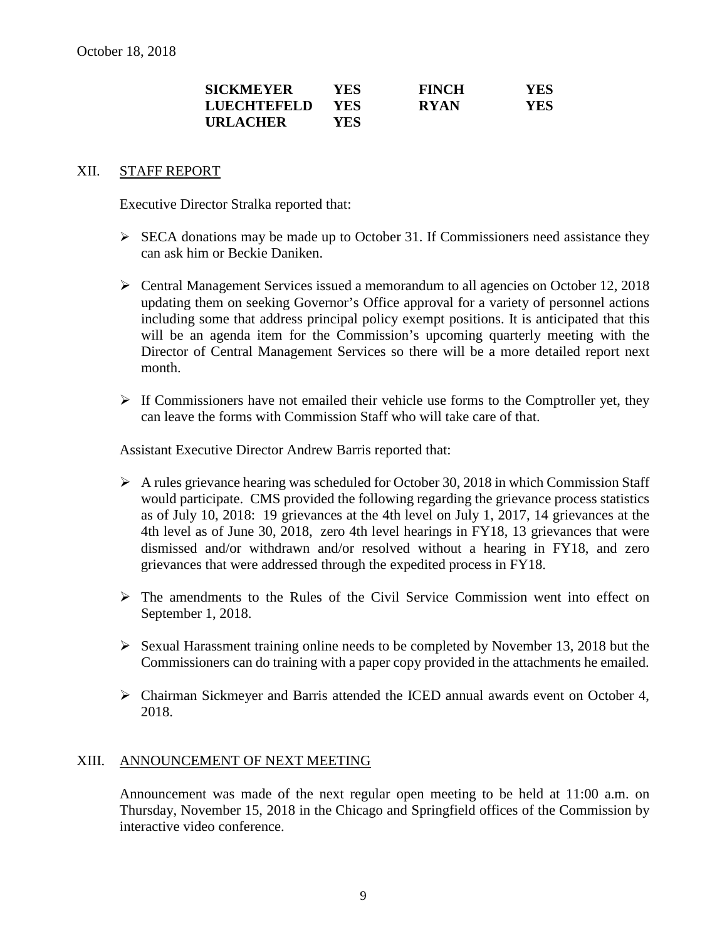| <b>SICKMEYER</b> | YES  | <b>FINCH</b> | YES |
|------------------|------|--------------|-----|
| LUECHTEFELD      | YES. | <b>RYAN</b>  | YES |
| <b>URLACHER</b>  | YES. |              |     |

#### XII. STAFF REPORT

Executive Director Stralka reported that:

- $\triangleright$  SECA donations may be made up to October 31. If Commissioners need assistance they can ask him or Beckie Daniken.
- Central Management Services issued a memorandum to all agencies on October 12, 2018 updating them on seeking Governor's Office approval for a variety of personnel actions including some that address principal policy exempt positions. It is anticipated that this will be an agenda item for the Commission's upcoming quarterly meeting with the Director of Central Management Services so there will be a more detailed report next month.
- $\triangleright$  If Commissioners have not emailed their vehicle use forms to the Comptroller yet, they can leave the forms with Commission Staff who will take care of that.

Assistant Executive Director Andrew Barris reported that:

- $\triangleright$  A rules grievance hearing was scheduled for October 30, 2018 in which Commission Staff would participate. CMS provided the following regarding the grievance process statistics as of July 10, 2018: 19 grievances at the 4th level on July 1, 2017, 14 grievances at the 4th level as of June 30, 2018, zero 4th level hearings in FY18, 13 grievances that were dismissed and/or withdrawn and/or resolved without a hearing in FY18, and zero grievances that were addressed through the expedited process in FY18.
- The amendments to the Rules of the Civil Service Commission went into effect on September 1, 2018.
- $\triangleright$  Sexual Harassment training online needs to be completed by November 13, 2018 but the Commissioners can do training with a paper copy provided in the attachments he emailed.
- Chairman Sickmeyer and Barris attended the ICED annual awards event on October 4, 2018.

#### XIII. ANNOUNCEMENT OF NEXT MEETING

Announcement was made of the next regular open meeting to be held at 11:00 a.m. on Thursday, November 15, 2018 in the Chicago and Springfield offices of the Commission by interactive video conference.